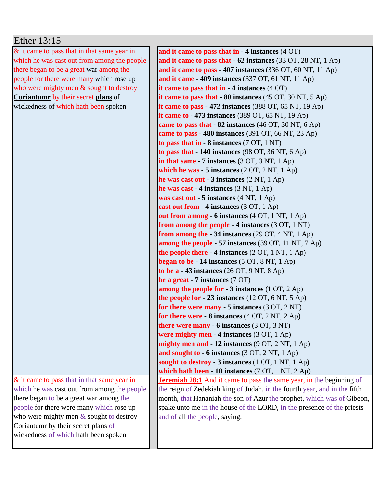## Ether 13:15

& it came to pass that in that same year in which he was cast out from among the people there began to be a great war among the people for there were many which rose up who were mighty men & sought to destroy **Coriantumr** by their secret **plans** of wickedness of which hath been spoken

& it came to pass that in that same year in which he was cast out from among the people there began to be a great war among the people for there were many which rose up who were mighty men & sought to destroy Coriantumr by their secret plans of wickedness of which hath been spoken

**and it came to pass that in - 4 instances** (4 OT) **and it came to pass that - 62 instances** (33 OT, 28 NT, 1 Ap) **and it came to pass - 407 instances** (336 OT, 60 NT, 11 Ap) **and it came - 409 instances** (337 OT, 61 NT, 11 Ap) **it came to pass that in - 4 instances** (4 OT) **it came to pass that - 80 instances** (45 OT, 30 NT, 5 Ap) **it came to pass - 472 instances** (388 OT, 65 NT, 19 Ap) **it came to - 473 instances** (389 OT, 65 NT, 19 Ap) **came to pass that - 82 instances** (46 OT, 30 NT, 6 Ap) **came to pass - 480 instances** (391 OT, 66 NT, 23 Ap) **to pass that in - 8 instances** (7 OT, 1 NT) **to pass that - 140 instances** (98 OT, 36 NT, 6 Ap) **in that same - 7 instances** (3 OT, 3 NT, 1 Ap) **which he was - 5 instances** (2 OT, 2 NT, 1 Ap) **he was cast out - 3 instances** (2 NT, 1 Ap) **he was cast - 4 instances** (3 NT, 1 Ap) **was cast out - 5 instances** (4 NT, 1 Ap) **cast out from - 4 instances** (3 OT, 1 Ap) **out from among - 6 instances** (4 OT, 1 NT, 1 Ap) **from among the people - 4 instances** (3 OT, 1 NT) **from among the - 34 instances** (29 OT, 4 NT, 1 Ap) **among the people - 57 instances** (39 OT, 11 NT, 7 Ap) **the people there - 4 instances** (2 OT, 1 NT, 1 Ap) **began to be - 14 instances** (5 OT, 8 NT, 1 Ap) **to be a - 43 instances** (26 OT, 9 NT, 8 Ap) **be a great - 7 instances** (7 OT) **among the people for - 3 instances** (1 OT, 2 Ap) **the people for - 23 instances** (12 OT, 6 NT, 5 Ap) **for there were many - 5 instances** (3 OT, 2 NT) **for there were - 8 instances** (4 OT, 2 NT, 2 Ap) **there were many - 6 instances** (3 OT, 3 NT) **were mighty men - 4 instances** (3 OT, 1 Ap) **mighty men and - 12 instances** (9 OT, 2 NT, 1 Ap) **and sought to - 6 instances** (3 OT, 2 NT, 1 Ap) **sought to destroy - 3 instances** (1 OT, 1 NT, 1 Ap) **which hath been - 10 instances** (7 OT, 1 NT, 2 Ap) **Jeremiah 28:1** And it came to pass the same year, in the beginning of the reign of Zedekiah king of Judah, in the fourth year, and in the fifth month, that Hananiah the son of Azur the prophet, which was of Gibeon, spake unto me in the house of the LORD, in the presence of the priests and of all the people, saying,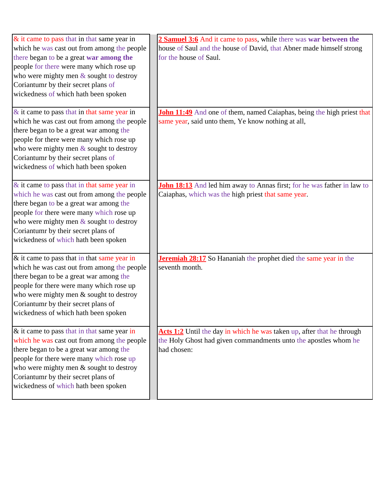| $&$ it came to pass that in that same year in  | <b>2 Samuel 3:6</b> And it came to pass, while there was war between the       |
|------------------------------------------------|--------------------------------------------------------------------------------|
| which he was cast out from among the people    | house of Saul and the house of David, that Abner made himself strong           |
| there began to be a great war among the        | for the house of Saul.                                                         |
| people for there were many which rose up       |                                                                                |
| who were mighty men $&$ sought to destroy      |                                                                                |
| Coriantumr by their secret plans of            |                                                                                |
| wickedness of which hath been spoken           |                                                                                |
|                                                |                                                                                |
| $\&$ it came to pass that in that same year in | John 11:49 And one of them, named Caiaphas, being the high priest that         |
| which he was cast out from among the people    | same year, said unto them, Ye know nothing at all,                             |
| there began to be a great war among the        |                                                                                |
| people for there were many which rose up       |                                                                                |
| who were mighty men $\&$ sought to destroy     |                                                                                |
| Coriantumr by their secret plans of            |                                                                                |
| wickedness of which hath been spoken           |                                                                                |
|                                                |                                                                                |
| & it came to pass that in that same year in    | <b>John 18:13</b> And led him away to Annas first; for he was father in law to |
| which he was cast out from among the people    | Caiaphas, which was the high priest that same year.                            |
| there began to be a great war among the        |                                                                                |
| people for there were many which rose up       |                                                                                |
| who were mighty men $&$ sought to destroy      |                                                                                |
| Coriantumr by their secret plans of            |                                                                                |
| wickedness of which hath been spoken           |                                                                                |
|                                                |                                                                                |
| $\&$ it came to pass that in that same year in | <b>Jeremiah 28:17</b> So Hananiah the prophet died the same year in the        |
| which he was cast out from among the people    | seventh month.                                                                 |
| there began to be a great war among the        |                                                                                |
| people for there were many which rose up       |                                                                                |
| who were mighty men $&$ sought to destroy      |                                                                                |
| Coriantumr by their secret plans of            |                                                                                |
| wickedness of which hath been spoken           |                                                                                |
|                                                |                                                                                |
| & it came to pass that in that same year in    | Acts 1:2 Until the day in which he was taken up, after that he through         |
| which he was cast out from among the people    | the Holy Ghost had given commandments unto the apostles whom he                |
| there began to be a great war among the        | had chosen:                                                                    |
| people for there were many which rose up       |                                                                                |
| who were mighty men & sought to destroy        |                                                                                |
| Coriantumr by their secret plans of            |                                                                                |
| wickedness of which hath been spoken           |                                                                                |
|                                                |                                                                                |
|                                                |                                                                                |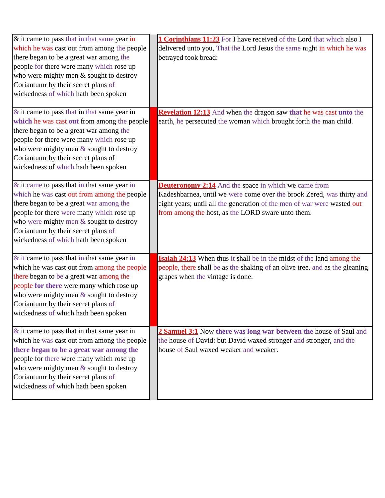| & it came to pass that in that same year in<br>which he was cast out from among the people<br>there began to be a great war among the<br>people for there were many which rose up<br>who were mighty men & sought to destroy<br>Coriantumr by their secret plans of<br>wickedness of which hath been spoken      | <b>1 Corinthians 11:23</b> For I have received of the Lord that which also I<br>delivered unto you, That the Lord Jesus the same night in which he was<br>betrayed took bread:                                                                                       |
|------------------------------------------------------------------------------------------------------------------------------------------------------------------------------------------------------------------------------------------------------------------------------------------------------------------|----------------------------------------------------------------------------------------------------------------------------------------------------------------------------------------------------------------------------------------------------------------------|
| $\&$ it came to pass that in that same year in<br>which he was cast out from among the people<br>there began to be a great war among the<br>people for there were many which rose up<br>who were mighty men $&$ sought to destroy<br>Coriantumr by their secret plans of<br>wickedness of which hath been spoken | <b>Revelation 12:13</b> And when the dragon saw that he was cast unto the<br>earth, he persecuted the woman which brought forth the man child.                                                                                                                       |
| $&$ it came to pass that in that same year in<br>which he was cast out from among the people<br>there began to be a great war among the<br>people for there were many which rose up<br>who were mighty men & sought to destroy<br>Coriantumr by their secret plans of<br>wickedness of which hath been spoken    | <b>Deuteronomy 2:14</b> And the space in which we came from<br>Kadeshbarnea, until we were come over the brook Zered, was thirty and<br>eight years; until all the generation of the men of war were wasted out<br>from among the host, as the LORD sware unto them. |
| $\&$ it came to pass that in that same year in<br>which he was cast out from among the people<br>there began to be a great war among the<br>people for there were many which rose up<br>who were mighty men $&$ sought to destroy<br>Coriantumr by their secret plans of<br>wickedness of which hath been spoken | <b>Isaiah 24:13</b> When thus it shall be in the midst of the land among the<br>people, there shall be as the shaking of an olive tree, and as the gleaning<br>grapes when the vintage is done.                                                                      |
| $\&$ it came to pass that in that same year in<br>which he was cast out from among the people<br>there began to be a great war among the<br>people for there were many which rose up<br>who were mighty men & sought to destroy<br>Coriantumr by their secret plans of<br>wickedness of which hath been spoken   | 2 Samuel 3:1 Now there was long war between the house of Saul and<br>the house of David: but David waxed stronger and stronger, and the<br>house of Saul waxed weaker and weaker.                                                                                    |